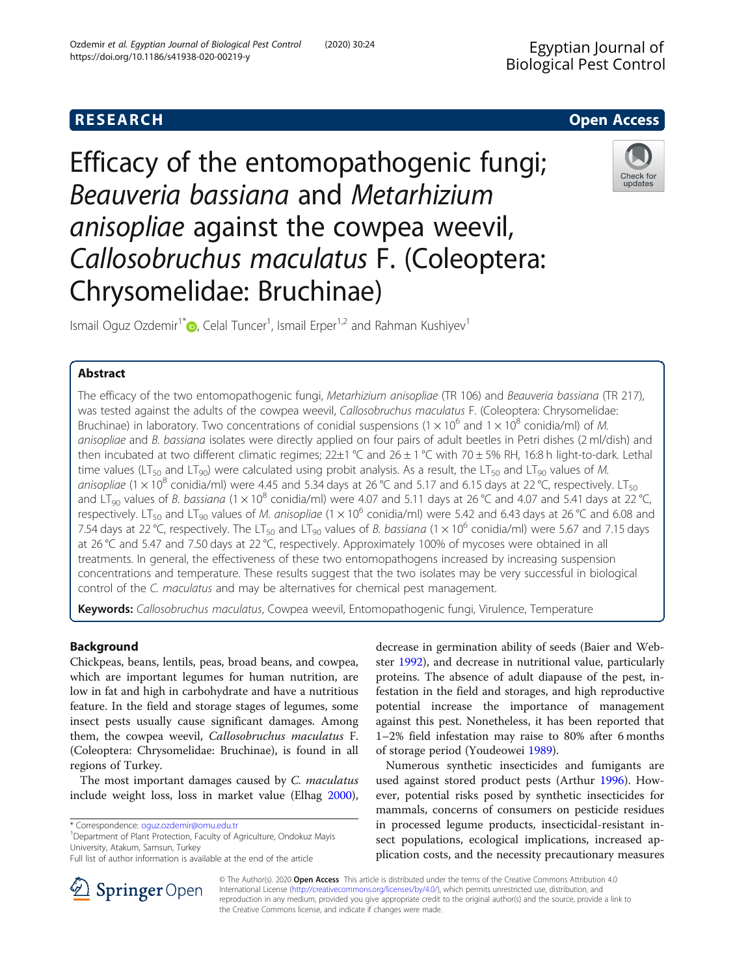# **RESEARCH CHE Open Access**

# Efficacy of the entomopathogenic fungi; Beauveria bassiana and Metarhizium anisopliae against the cowpea weevil, Callosobruchus maculatus F. (Coleoptera: Chrysomelidae: Bruchinae)

Ismail Oguz Ozdemir<sup>1\*</sup> D[,](http://orcid.org/0000-0001-9095-2109) Celal Tuncer<sup>1</sup>, Ismail Erper<sup>1,2</sup> and Rahman Kushiyev<sup>1</sup>

# Abstract

The efficacy of the two entomopathogenic fungi, Metarhizium anisopliae (TR 106) and Beauveria bassiana (TR 217), was tested against the adults of the cowpea weevil, Callosobruchus maculatus F. (Coleoptera: Chrysomelidae: Bruchinae) in laboratory. Two concentrations of conidial suspensions ( $1 \times 10^6$  and  $1 \times 10^8$  conidia/ml) of M. anisopliae and B. bassiana isolates were directly applied on four pairs of adult beetles in Petri dishes (2 ml/dish) and then incubated at two different climatic regimes;  $22\pm1$  °C and  $26\pm1$  °C with 70  $\pm$  5% RH, 16:8 h light-to-dark. Lethal time values (LT<sub>50</sub> and LT<sub>90</sub>) were calculated using probit analysis. As a result, the LT<sub>50</sub> and LT<sub>90</sub> values of M. anisopliae (1  $\times$  10<sup>8</sup> conidia/ml) were 4.45 and 5.34 days at 26 °C and 5.17 and 6.15 days at 22 °C, respectively. LT<sub>50</sub> and LT<sub>90</sub> values of B. bassiana (1  $\times$  10<sup>8</sup> conidia/ml) were 4.07 and 5.11 days at 26 °C and 4.07 and 5.41 days at 22 °C, respectively. LT<sub>50</sub> and LT<sub>90</sub> values of *M. anisopliae* (1 × 10<sup>6</sup> conidia/ml) were 5.42 and 6.43 days at 26 °C and 6.08 and 7.54 days at 22 °C, respectively. The LT<sub>50</sub> and LT<sub>90</sub> values of *B. bassiana* (1 × 10<sup>6</sup> conidia/ml) were 5.67 and 7.15 days at 26 °C and 5.47 and 7.50 days at 22 °C, respectively. Approximately 100% of mycoses were obtained in all treatments. In general, the effectiveness of these two entomopathogens increased by increasing suspension concentrations and temperature. These results suggest that the two isolates may be very successful in biological control of the C. maculatus and may be alternatives for chemical pest management.

Keywords: Callosobruchus maculatus, Cowpea weevil, Entomopathogenic fungi, Virulence, Temperature

## Background

Chickpeas, beans, lentils, peas, broad beans, and cowpea, which are important legumes for human nutrition, are low in fat and high in carbohydrate and have a nutritious feature. In the field and storage stages of legumes, some insect pests usually cause significant damages. Among them, the cowpea weevil, Callosobruchus maculatus F. (Coleoptera: Chrysomelidae: Bruchinae), is found in all regions of Turkey.

The most important damages caused by C. maculatus include weight loss, loss in market value (Elhag [2000](#page-4-0)),

\* Correspondence: [oguz.ozdemir@omu.edu.tr](mailto:oguz.ozdemir@omu.edu.tr) <sup>1</sup>

SpringerOpen

<sup>1</sup>Department of Plant Protection, Faculty of Agriculture, Ondokuz Mayis University, Atakum, Samsun, Turkey

decrease in germination ability of seeds (Baier and Webster [1992\)](#page-4-0), and decrease in nutritional value, particularly proteins. The absence of adult diapause of the pest, infestation in the field and storages, and high reproductive potential increase the importance of management against this pest. Nonetheless, it has been reported that 1–2% field infestation may raise to 80% after 6 months of storage period (Youdeowei [1989\)](#page-4-0).

Numerous synthetic insecticides and fumigants are used against stored product pests (Arthur [1996\)](#page-4-0). However, potential risks posed by synthetic insecticides for mammals, concerns of consumers on pesticide residues in processed legume products, insecticidal-resistant insect populations, ecological implications, increased application costs, and the necessity precautionary measures

© The Author(s). 2020 Open Access This article is distributed under the terms of the Creative Commons Attribution 4.0 International License ([http://creativecommons.org/licenses/by/4.0/\)](http://creativecommons.org/licenses/by/4.0/), which permits unrestricted use, distribution, and reproduction in any medium, provided you give appropriate credit to the original author(s) and the source, provide a link to the Creative Commons license, and indicate if changes were made.







Full list of author information is available at the end of the article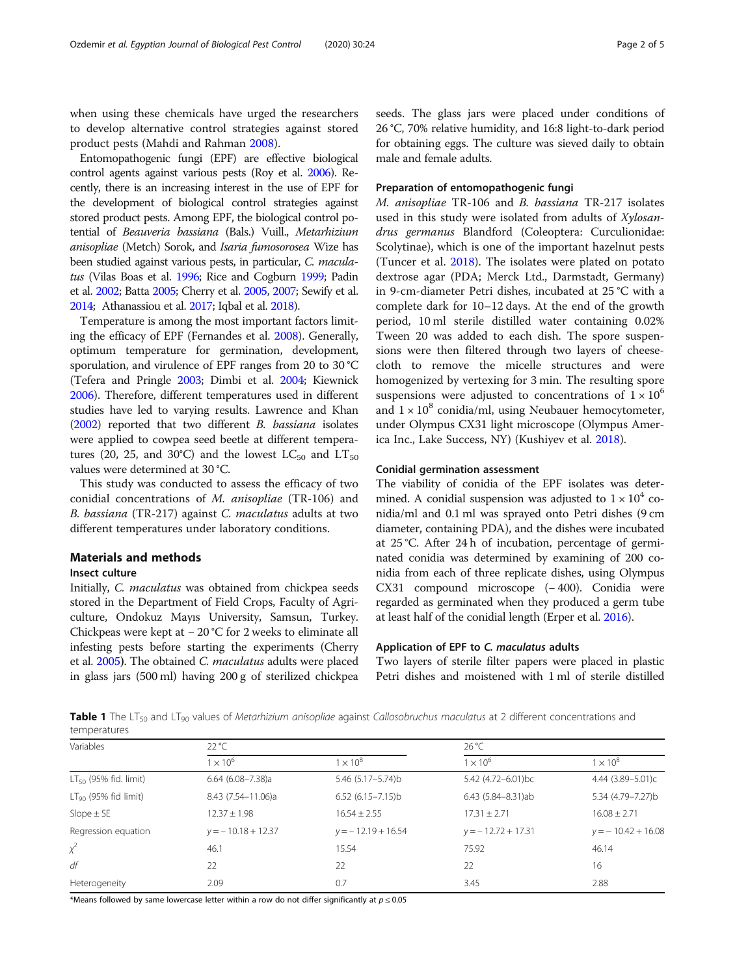<span id="page-1-0"></span>when using these chemicals have urged the researchers to develop alternative control strategies against stored product pests (Mahdi and Rahman [2008](#page-4-0)).

Entomopathogenic fungi (EPF) are effective biological control agents against various pests (Roy et al. [2006\)](#page-4-0). Recently, there is an increasing interest in the use of EPF for the development of biological control strategies against stored product pests. Among EPF, the biological control potential of Beauveria bassiana (Bals.) Vuill., Metarhizium anisopliae (Metch) Sorok, and Isaria fumosorosea Wize has been studied against various pests, in particular, C. maculatus (Vilas Boas et al. [1996](#page-4-0); Rice and Cogburn [1999;](#page-4-0) Padin et al. [2002](#page-4-0); Batta [2005](#page-4-0); Cherry et al. [2005](#page-4-0), [2007;](#page-4-0) Sewify et al. [2014](#page-4-0); Athanassiou et al. [2017](#page-4-0); Iqbal et al. [2018](#page-4-0)).

Temperature is among the most important factors limiting the efficacy of EPF (Fernandes et al. [2008\)](#page-4-0). Generally, optimum temperature for germination, development, sporulation, and virulence of EPF ranges from 20 to 30 °C (Tefera and Pringle [2003](#page-4-0); Dimbi et al. [2004](#page-4-0); Kiewnick [2006\)](#page-4-0). Therefore, different temperatures used in different studies have led to varying results. Lawrence and Khan ([2002](#page-4-0)) reported that two different B. bassiana isolates were applied to cowpea seed beetle at different temperatures (20, 25, and 30°C) and the lowest  $LC_{50}$  and  $LT_{50}$ values were determined at 30 °C.

This study was conducted to assess the efficacy of two conidial concentrations of M. anisopliae (TR-106) and B. bassiana (TR-217) against C. maculatus adults at two different temperatures under laboratory conditions.

# Materials and methods

### Insect culture

Initially, C. maculatus was obtained from chickpea seeds stored in the Department of Field Crops, Faculty of Agriculture, Ondokuz Mayıs University, Samsun, Turkey. Chickpeas were kept at − 20 °C for 2 weeks to eliminate all infesting pests before starting the experiments (Cherry et al. [2005](#page-4-0)). The obtained C. maculatus adults were placed in glass jars (500 ml) having 200 g of sterilized chickpea seeds. The glass jars were placed under conditions of 26 °C, 70% relative humidity, and 16:8 light-to-dark period for obtaining eggs. The culture was sieved daily to obtain male and female adults.

#### Preparation of entomopathogenic fungi

M. anisopliae TR-106 and B. bassiana TR-217 isolates used in this study were isolated from adults of Xylosandrus germanus Blandford (Coleoptera: Curculionidae: Scolytinae), which is one of the important hazelnut pests (Tuncer et al. [2018\)](#page-4-0). The isolates were plated on potato dextrose agar (PDA; Merck Ltd., Darmstadt, Germany) in 9-cm-diameter Petri dishes, incubated at 25 °C with a complete dark for 10–12 days. At the end of the growth period, 10 ml sterile distilled water containing 0.02% Tween 20 was added to each dish. The spore suspensions were then filtered through two layers of cheesecloth to remove the micelle structures and were homogenized by vertexing for 3 min. The resulting spore suspensions were adjusted to concentrations of  $1 \times 10^6$ and  $1 \times 10^8$  conidia/ml, using Neubauer hemocytometer, under Olympus CX31 light microscope (Olympus America Inc., Lake Success, NY) (Kushiyev et al. [2018](#page-4-0)).

#### Conidial germination assessment

The viability of conidia of the EPF isolates was determined. A conidial suspension was adjusted to  $1 \times 10^4$  conidia/ml and 0.1 ml was sprayed onto Petri dishes (9 cm diameter, containing PDA), and the dishes were incubated at 25 °C. After 24 h of incubation, percentage of germinated conidia was determined by examining of 200 conidia from each of three replicate dishes, using Olympus CX31 compound microscope (− 400). Conidia were regarded as germinated when they produced a germ tube at least half of the conidial length (Erper et al. [2016\)](#page-4-0).

#### Application of EPF to C. maculatus adults

Two layers of sterile filter papers were placed in plastic Petri dishes and moistened with 1 ml of sterile distilled

**Table 1** The LT<sub>50</sub> and LT<sub>90</sub> values of Metarhizium anisopliae against Callosobruchus maculatus at 2 different concentrations and temperatures

| Variables                  | $22^{\circ}$ C       |                      | 26 °C                |                      |
|----------------------------|----------------------|----------------------|----------------------|----------------------|
|                            | $1 \times 10^6$      | $1 \times 10^8$      | $1 \times 10^6$      | $1 \times 10^8$      |
| $LT_{50}$ (95% fid. limit) | $6.64$ (6.08-7.38)a  | 5.46 (5.17-5.74)b    | 5.42 (4.72-6.01)bc   | 4.44 (3.89-5.01)c    |
| $LT_{90}$ (95% fid limit)  | 8.43 (7.54-11.06)a   | $6.52(6.15 - 7.15)b$ | 6.43 (5.84-8.31)ab   | 5.34 (4.79-7.27)b    |
| $Slope \pm SE$             | $12.37 \pm 1.98$     | $16.54 + 2.55$       | $17.31 \pm 2.71$     | $16.08 \pm 2.71$     |
| Regression equation        | $y = -10.18 + 12.37$ | $y = -12.19 + 16.54$ | $y = -12.72 + 17.31$ | $y = -10.42 + 16.08$ |
| $\chi^2$                   | 46.1                 | 15.54                | 75.92                | 46.14                |
| df                         | 22                   | 22                   | 22                   | 16                   |
| Heterogeneity              | 2.09                 | 0.7                  | 3.45                 | 2.88                 |

\*Means followed by same lowercase letter within a row do not differ significantly at  $p \le 0.05$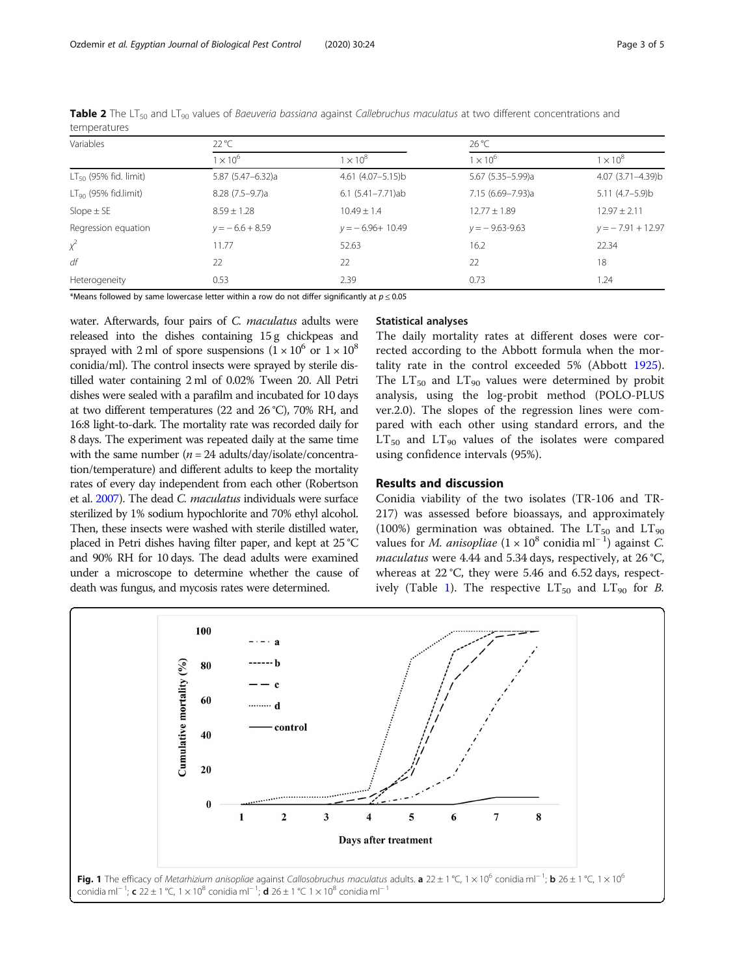| Variables                  | $22^{\circ}$ C    |                         | $26^{\circ}$ C     |                      |
|----------------------------|-------------------|-------------------------|--------------------|----------------------|
|                            | $1 \times 10^6$   | $1 \times 10^8$         | $1 \times 10^6$    | $1 \times 10^8$      |
| $LT_{50}$ (95% fid. limit) | 5.87 (5.47-6.32)a | $4.61$ $(4.07 - 5.15)b$ | 5.67 (5.35-5.99)a  | 4.07 (3.71-4.39)b    |
| $LT90$ (95% fid.limit)     | $8.28(7.5-9.7)a$  | $6.1 (5.41 - 7.71)$ ab  | 7.15 (6.69-7.93)a  | $5.11 (4.7 - 5.9)$ b |
| Slope $\pm$ SE             | $8.59 \pm 1.28$   | $10.49 \pm 1.4$         | $12.77 \pm 1.89$   | $12.97 \pm 2.11$     |
| Regression equation        | $y = -6.6 + 8.59$ | $y = -6.96 + 10.49$     | $y = -9.63 - 9.63$ | $y = -7.91 + 12.97$  |
| $x^2$                      | 11.77             | 52.63                   | 16.2               | 22.34                |
| df                         | 22                | 22                      | 22                 | 18                   |
| Heterogeneity              | 0.53              | 2.39                    | 0.73               | 1.24                 |

<span id="page-2-0"></span>Table 2 The LT<sub>50</sub> and LT<sub>90</sub> values of Baeuveria bassiana against Callebruchus maculatus at two different concentrations and temperatures

\*Means followed by same lowercase letter within a row do not differ significantly at  $p \le 0.05$ 

water. Afterwards, four pairs of C. maculatus adults were released into the dishes containing 15 g chickpeas and sprayed with 2 ml of spore suspensions  $(1 \times 10^6 \text{ or } 1 \times 10^8$ conidia/ml). The control insects were sprayed by sterile distilled water containing 2 ml of 0.02% Tween 20. All Petri dishes were sealed with a parafilm and incubated for 10 days at two different temperatures (22 and 26 °C), 70% RH, and 16:8 light-to-dark. The mortality rate was recorded daily for 8 days. The experiment was repeated daily at the same time with the same number ( $n = 24$  adults/day/isolate/concentration/temperature) and different adults to keep the mortality rates of every day independent from each other (Robertson et al. [2007](#page-4-0)). The dead C. maculatus individuals were surface sterilized by 1% sodium hypochlorite and 70% ethyl alcohol. Then, these insects were washed with sterile distilled water, placed in Petri dishes having filter paper, and kept at 25 °C and 90% RH for 10 days. The dead adults were examined under a microscope to determine whether the cause of death was fungus, and mycosis rates were determined.

#### Statistical analyses

The daily mortality rates at different doses were corrected according to the Abbott formula when the mortality rate in the control exceeded 5% (Abbott [1925](#page-4-0)). The  $LT_{50}$  and  $LT_{90}$  values were determined by probit analysis, using the log-probit method (POLO-PLUS ver.2.0). The slopes of the regression lines were compared with each other using standard errors, and the  $LT_{50}$  and  $LT_{90}$  values of the isolates were compared using confidence intervals (95%).

#### Results and discussion

Conidia viability of the two isolates (TR-106 and TR-217) was assessed before bioassays, and approximately (100%) germination was obtained. The  $LT_{50}$  and  $LT_{90}$ values for *M. anisopliae* ( $1 \times 10^8$  conidia ml<sup>-1</sup>) against *C*. maculatus were 4.44 and 5.34 days, respectively, at 26 °C, whereas at 22 °C, they were 5.46 and 6.52 days, respect-ively (Table [1](#page-1-0)). The respective  $LT_{50}$  and  $LT_{90}$  for B.

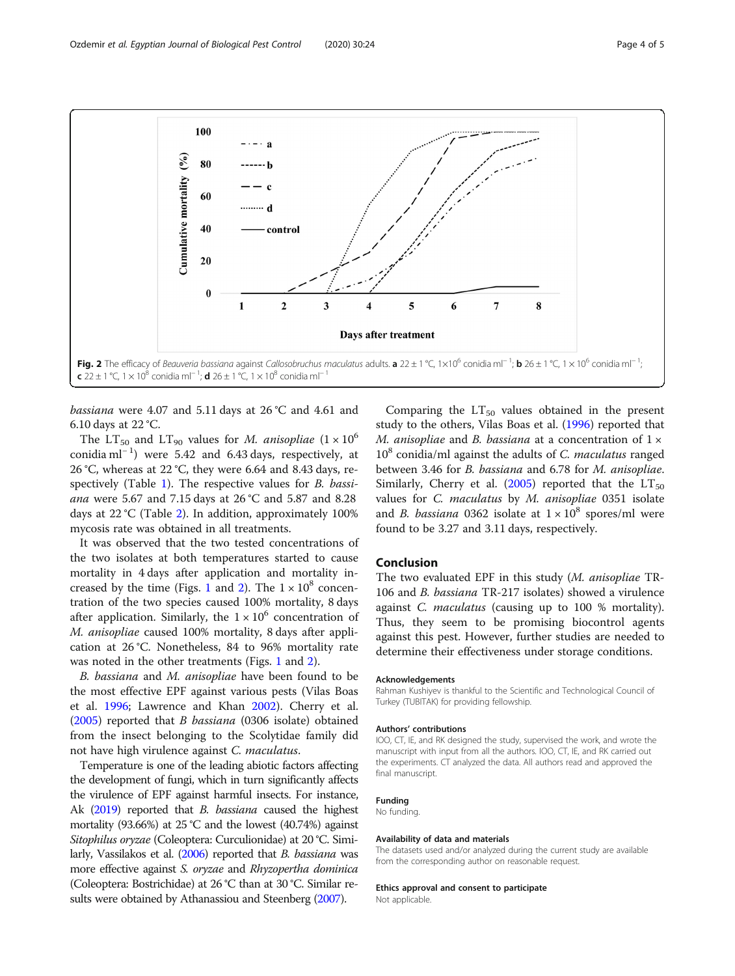

bassiana were 4.07 and 5.11 days at 26 °C and 4.61 and 6.10 days at 22 °C.

The LT<sub>50</sub> and LT<sub>90</sub> values for *M. anisopliae*  $(1 \times 10^6)$ conidia ml<sup>−</sup> <sup>1</sup> ) were 5.42 and 6.43 days, respectively, at 26 °C, whereas at 22 °C, they were 6.64 and 8.43 days, re-spectively (Table [1](#page-1-0)). The respective values for *B. bassi*ana were 5.67 and 7.15 days at 26 °C and 5.87 and 8.28 days at 22 °C (Table [2\)](#page-2-0). In addition, approximately 100% mycosis rate was obtained in all treatments.

It was observed that the two tested concentrations of the two isolates at both temperatures started to cause mortality in 4 days after application and mortality in-creased by the time (Figs. [1](#page-2-0) and 2). The  $1 \times 10^8$  concentration of the two species caused 100% mortality, 8 days after application. Similarly, the  $1 \times 10^6$  concentration of M. anisopliae caused 100% mortality, 8 days after application at 26 °C. Nonetheless, 84 to 96% mortality rate was noted in the other treatments (Figs. [1](#page-2-0) and 2).

B. bassiana and M. anisopliae have been found to be the most effective EPF against various pests (Vilas Boas et al. [1996](#page-4-0); Lawrence and Khan [2002\)](#page-4-0). Cherry et al. ([2005](#page-4-0)) reported that B bassiana (0306 isolate) obtained from the insect belonging to the Scolytidae family did not have high virulence against C. *maculatus*.

Temperature is one of the leading abiotic factors affecting the development of fungi, which in turn significantly affects the virulence of EPF against harmful insects. For instance, Ak [\(2019](#page-4-0)) reported that *B. bassiana* caused the highest mortality (93.66%) at 25 °C and the lowest (40.74%) against Sitophilus oryzae (Coleoptera: Curculionidae) at 20 °C. Similarly, Vassilakos et al. [\(2006\)](#page-4-0) reported that B. bassiana was more effective against S. oryzae and Rhyzopertha dominica (Coleoptera: Bostrichidae) at 26 °C than at 30 °C. Similar re-sults were obtained by Athanassiou and Steenberg [\(2007](#page-4-0)).

Comparing the  $LT_{50}$  values obtained in the present study to the others, Vilas Boas et al. ([1996](#page-4-0)) reported that M. anisopliae and B. bassiana at a concentration of  $1 \times$  $10<sup>8</sup>$  conidia/ml against the adults of C. *maculatus* ranged between 3.46 for B. bassiana and 6.78 for M. anisopliae. Similarly, Cherry et al. ([2005](#page-4-0)) reported that the  $LT_{50}$ values for C. maculatus by M. anisopliae 0351 isolate and *B. bassiana* 0362 isolate at  $1 \times 10^8$  spores/ml were found to be 3.27 and 3.11 days, respectively.

#### Conclusion

The two evaluated EPF in this study (M. anisopliae TR-106 and B. bassiana TR-217 isolates) showed a virulence against C. maculatus (causing up to 100 % mortality). Thus, they seem to be promising biocontrol agents against this pest. However, further studies are needed to determine their effectiveness under storage conditions.

#### Acknowledgements

Rahman Kushiyev is thankful to the Scientific and Technological Council of Turkey (TUBITAK) for providing fellowship.

#### Authors' contributions

IOO, CT, IE, and RK designed the study, supervised the work, and wrote the manuscript with input from all the authors. IOO, CT, IE, and RK carried out the experiments. CT analyzed the data. All authors read and approved the final manuscript

#### Funding

# No funding.

#### Availability of data and materials

The datasets used and/or analyzed during the current study are available from the corresponding author on reasonable request.

#### Ethics approval and consent to participate

Not applicable.